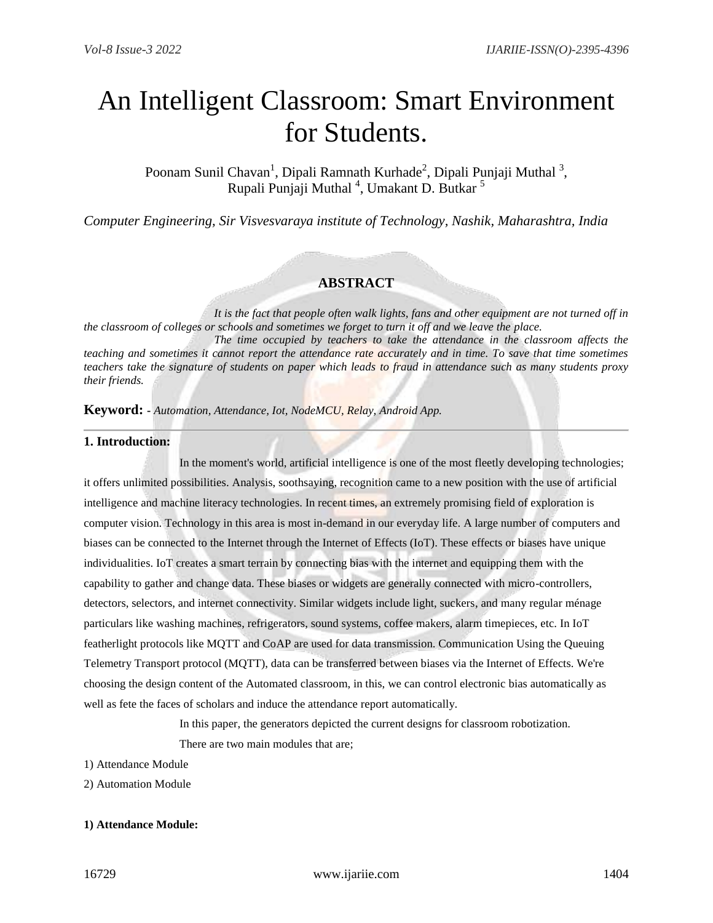# An Intelligent Classroom: Smart Environment for Students.

Poonam Sunil Chavan<sup>1</sup>, Dipali Ramnath Kurhade<sup>2</sup>, Dipali Punjaji Muthal<sup>3</sup>, Rupali Punjaji Muthal<sup>4</sup>, Umakant D. Butkar<sup>5</sup>

*Computer Engineering, Sir Visvesvaraya institute of Technology, Nashik, Maharashtra, India*

### **ABSTRACT**

 *It is the fact that people often walk lights, fans and other equipment are not turned off in the classroom of colleges or schools and sometimes we forget to turn it off and we leave the place.*

 *The time occupied by teachers to take the attendance in the classroom affects the teaching and sometimes it cannot report the attendance rate accurately and in time. To save that time sometimes teachers take the signature of students on paper which leads to fraud in attendance such as many students proxy their friends.*

**Keyword: -** *Automation, Attendance, Iot, NodeMCU, Relay, Android App.*

#### **1. Introduction:**

 In the moment's world, artificial intelligence is one of the most fleetly developing technologies; it offers unlimited possibilities. Analysis, soothsaying, recognition came to a new position with the use of artificial intelligence and machine literacy technologies. In recent times, an extremely promising field of exploration is computer vision. Technology in this area is most in-demand in our everyday life. A large number of computers and biases can be connected to the Internet through the Internet of Effects (IoT). These effects or biases have unique individualities. IoT creates a smart terrain by connecting bias with the internet and equipping them with the capability to gather and change data. These biases or widgets are generally connected with micro-controllers, detectors, selectors, and internet connectivity. Similar widgets include light, suckers, and many regular ménage particulars like washing machines, refrigerators, sound systems, coffee makers, alarm timepieces, etc. In IoT featherlight protocols like MQTT and CoAP are used for data transmission. Communication Using the Queuing Telemetry Transport protocol (MQTT), data can be transferred between biases via the Internet of Effects. We're choosing the design content of the Automated classroom, in this, we can control electronic bias automatically as well as fete the faces of scholars and induce the attendance report automatically.

> In this paper, the generators depicted the current designs for classroom robotization. There are two main modules that are;

1) Attendance Module

2) Automation Module

#### **1) Attendance Module:**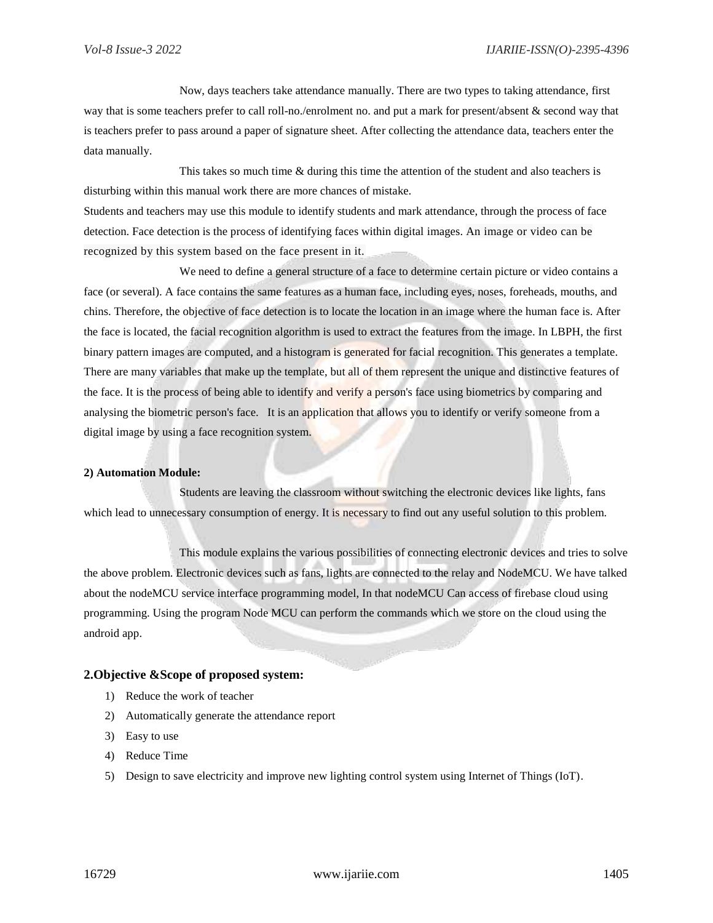Now, days teachers take attendance manually. There are two types to taking attendance, first way that is some teachers prefer to call roll-no./enrolment no. and put a mark for present/absent & second way that is teachers prefer to pass around a paper of signature sheet. After collecting the attendance data, teachers enter the data manually.

 This takes so much time & during this time the attention of the student and also teachers is disturbing within this manual work there are more chances of mistake.

Students and teachers may use this module to identify students and mark attendance, through the process of face detection. Face detection is the process of identifying faces within digital images. An image or video can be recognized by this system based on the face present in it.

 We need to define a general structure of a face to determine certain picture or video contains a face (or several). A face contains the same features as a human face, including eyes, noses, foreheads, mouths, and chins. Therefore, the objective of face detection is to locate the location in an image where the human face is. After the face is located, the facial recognition algorithm is used to extract the features from the image. In LBPH, the first binary pattern images are computed, and a histogram is generated for facial recognition. This generates a template. There are many variables that make up the template, but all of them represent the unique and distinctive features of the face. It is the process of being able to identify and verify a person's face using biometrics by comparing and analysing the biometric person's face. It is an application that allows you to identify or verify someone from a digital image by using a face recognition system.

#### **2) Automation Module:**

 Students are leaving the classroom without switching the electronic devices like lights, fans which lead to unnecessary consumption of energy. It is necessary to find out any useful solution to this problem.

 This module explains the various possibilities of connecting electronic devices and tries to solve the above problem. Electronic devices such as fans, lights are connected to the relay and NodeMCU. We have talked about the nodeMCU service interface programming model, In that nodeMCU Can access of firebase cloud using programming. Using the program Node MCU can perform the commands which we store on the cloud using the android app.

#### **2.Objective &Scope of proposed system:**

- 1) Reduce the work of teacher
- 2) Automatically generate the attendance report
- 3) Easy to use
- 4) Reduce Time
- 5) Design to save electricity and improve new lighting control system using Internet of Things (IoT).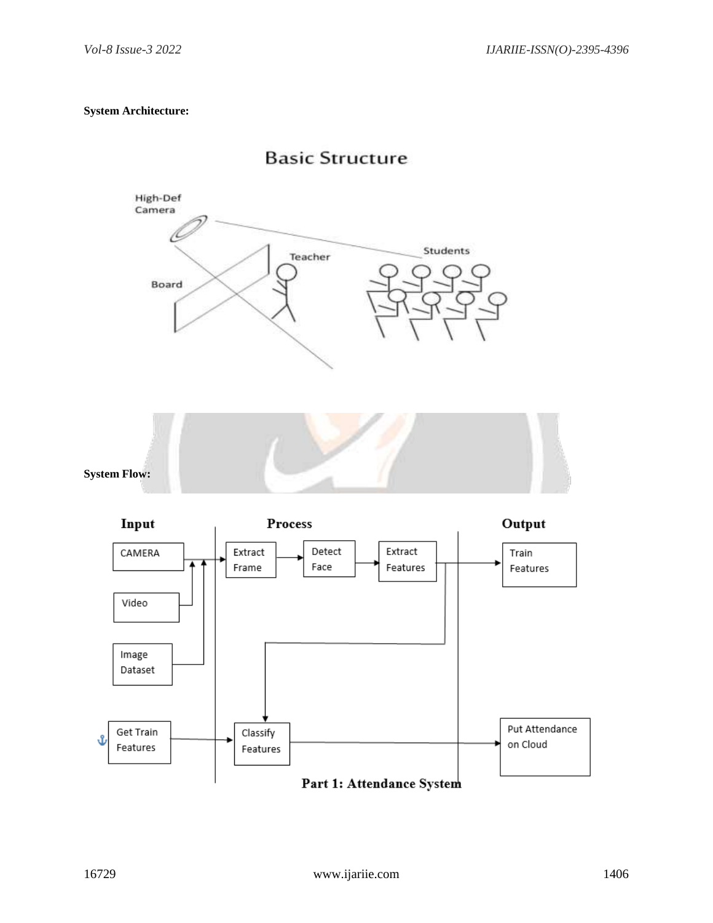#### **System Architecture:**



# **Basic Structure**



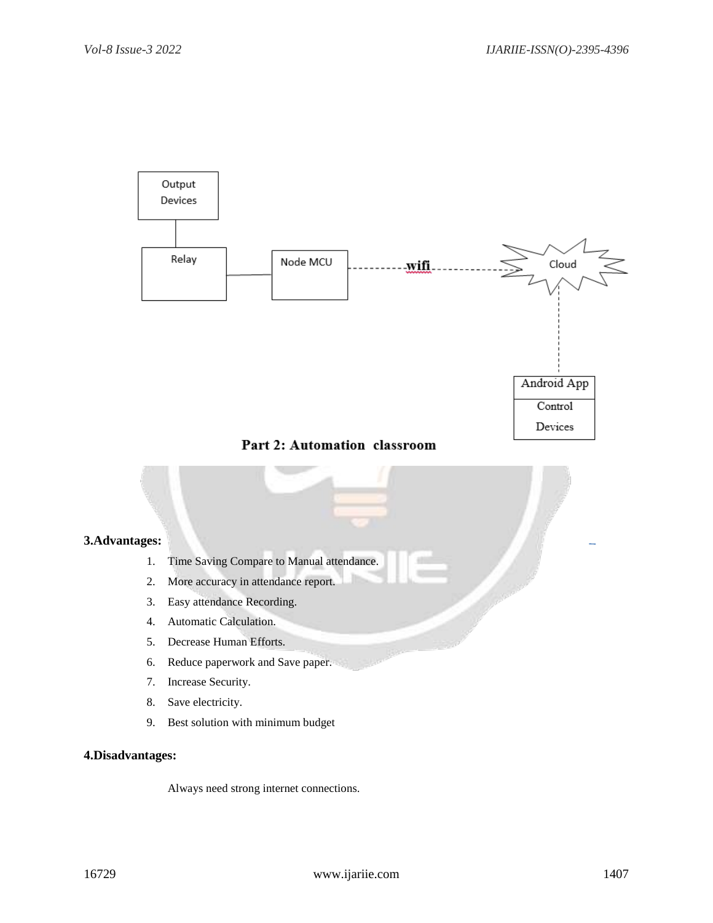

Part 2: Automation classroom

### **3.Advantages:**

- 1. Time Saving Compare to Manual attendance.
- 2. More accuracy in attendance report.
- 3. Easy attendance Recording.
- 4. Automatic Calculation.
- 5. Decrease Human Efforts.
- 6. Reduce paperwork and Save paper.
- 7. Increase Security.
- 8. Save electricity.
- 9. Best solution with minimum budget

#### **4.Disadvantages:**

Always need strong internet connections.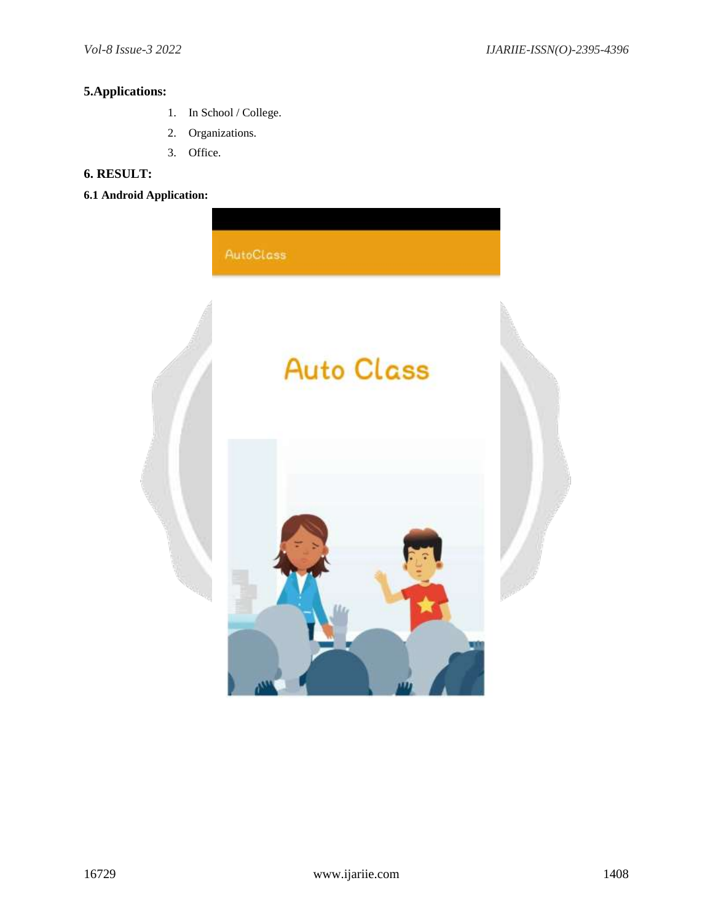## **5.Applications:**

- 1. In School / College.
- 2. Organizations.
- 3. Office.

## **6. RESULT:**

### **6.1 Android Application:**

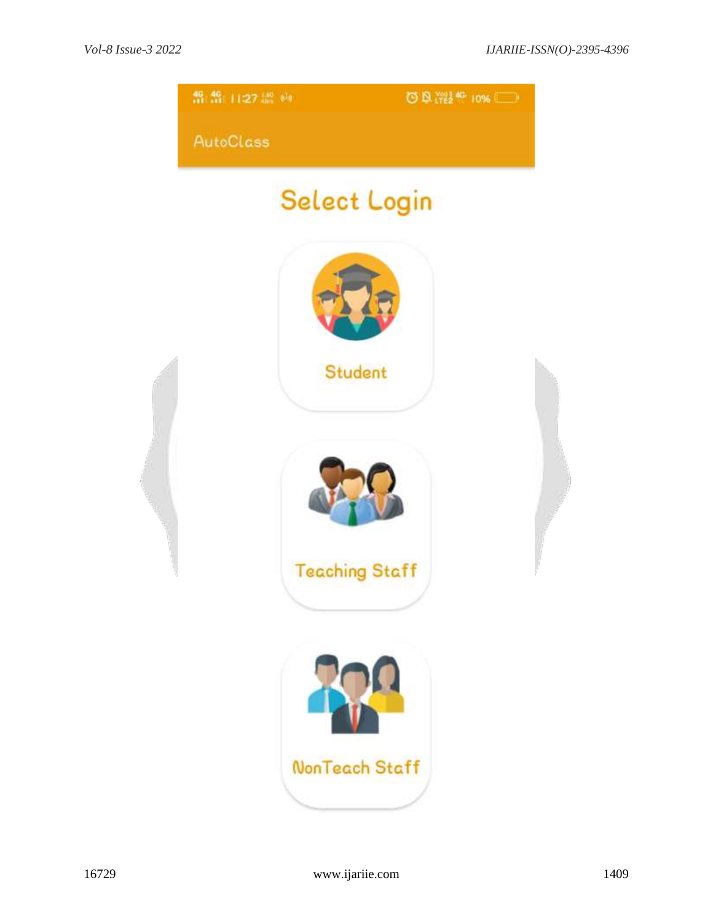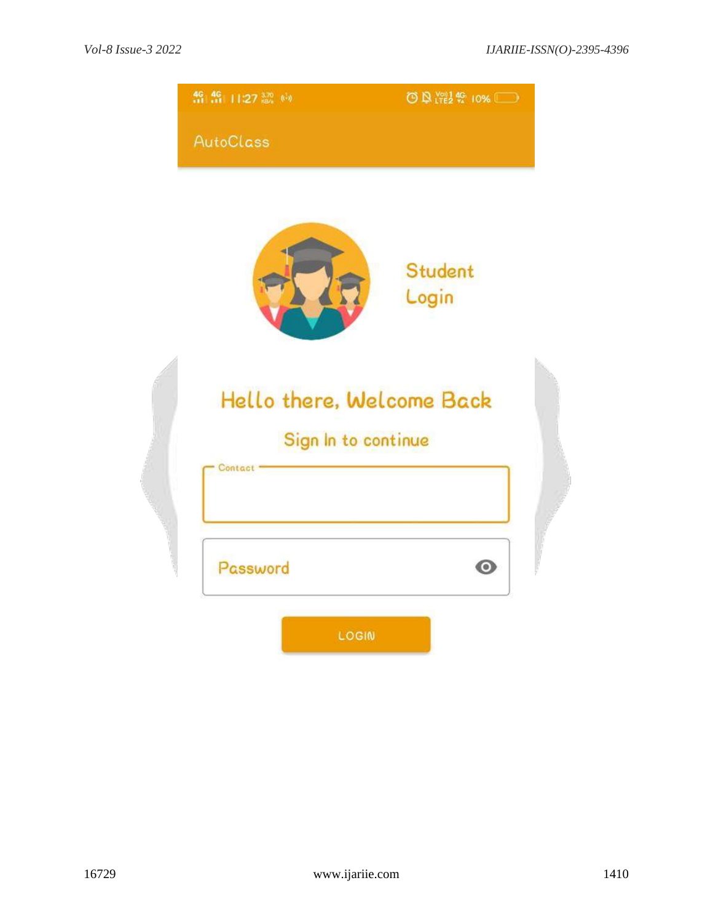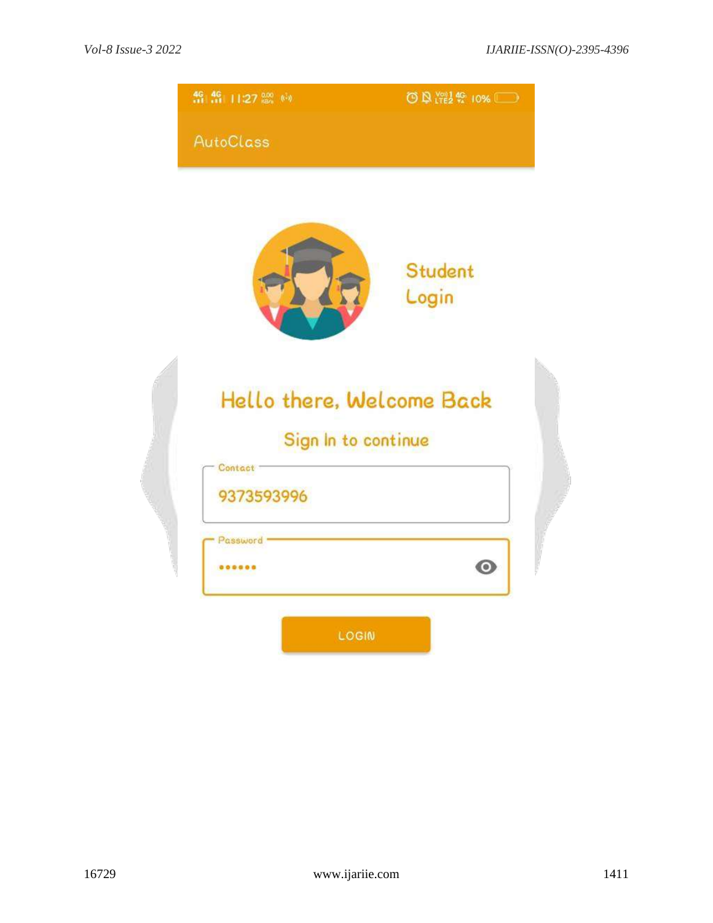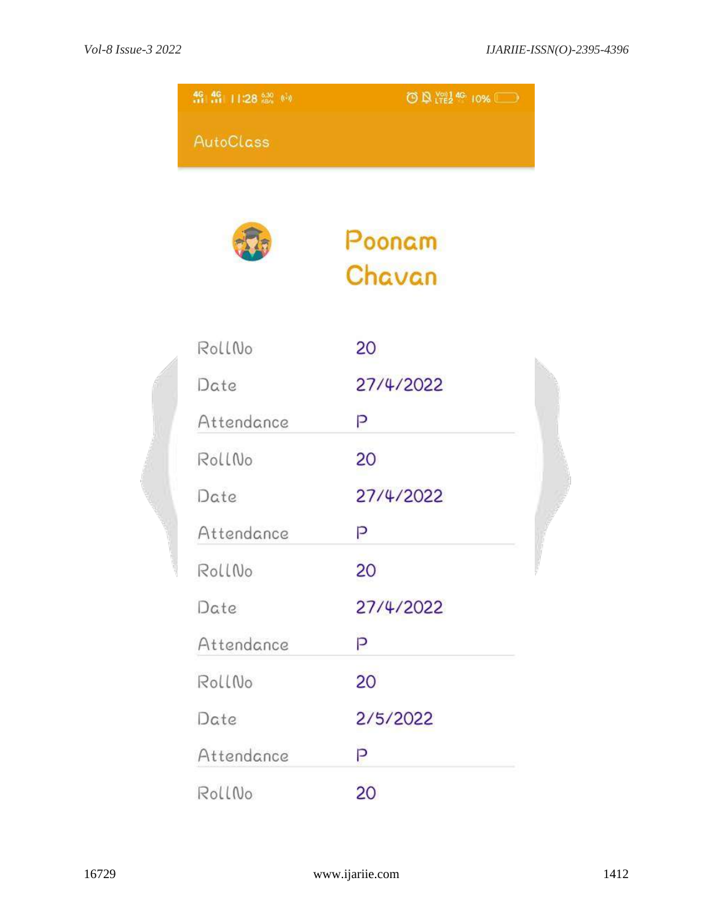| 46 46 11:28 50 60 | ◎ 以 ( 22) 4G 10% □ |  |
|-------------------|--------------------|--|
| AutoClass         |                    |  |
|                   |                    |  |
|                   | Poonam<br>Chavan   |  |
|                   |                    |  |
| RollNo            | 20                 |  |
| Date              | 27/4/2022          |  |
| Attendance        | P                  |  |
| RollNo            | 20                 |  |
| Date              | 27/4/2022          |  |
| Attendance        | P                  |  |
| RollNo            | 20                 |  |
| Date              | 27/4/2022          |  |
| Attendance        | P                  |  |
| RollNo            | 20                 |  |
| Date              | 2/5/2022           |  |
| Attendance        | P                  |  |
| RollNo            | 20                 |  |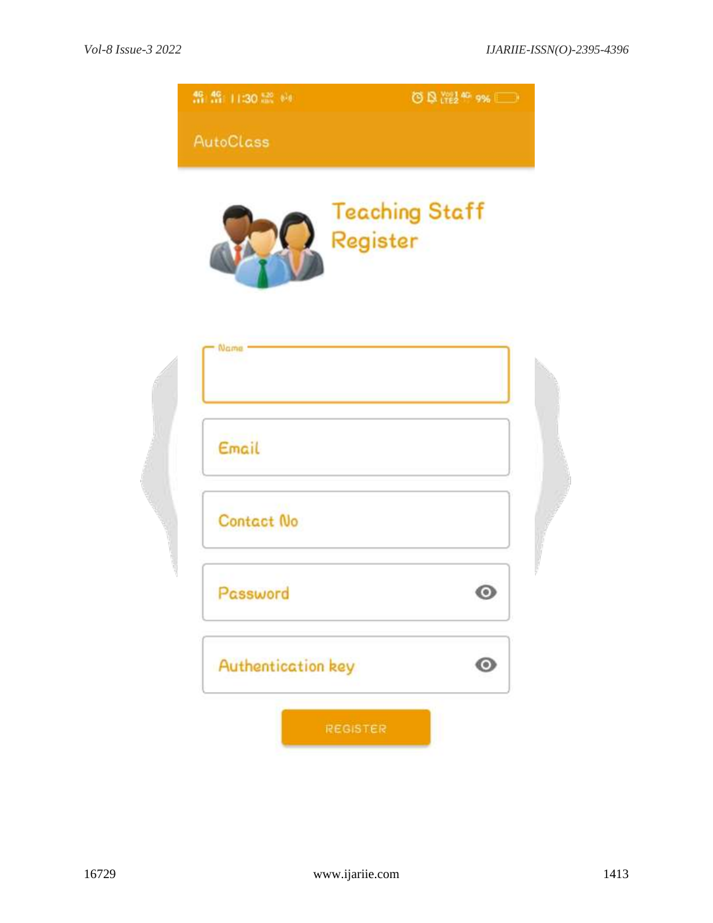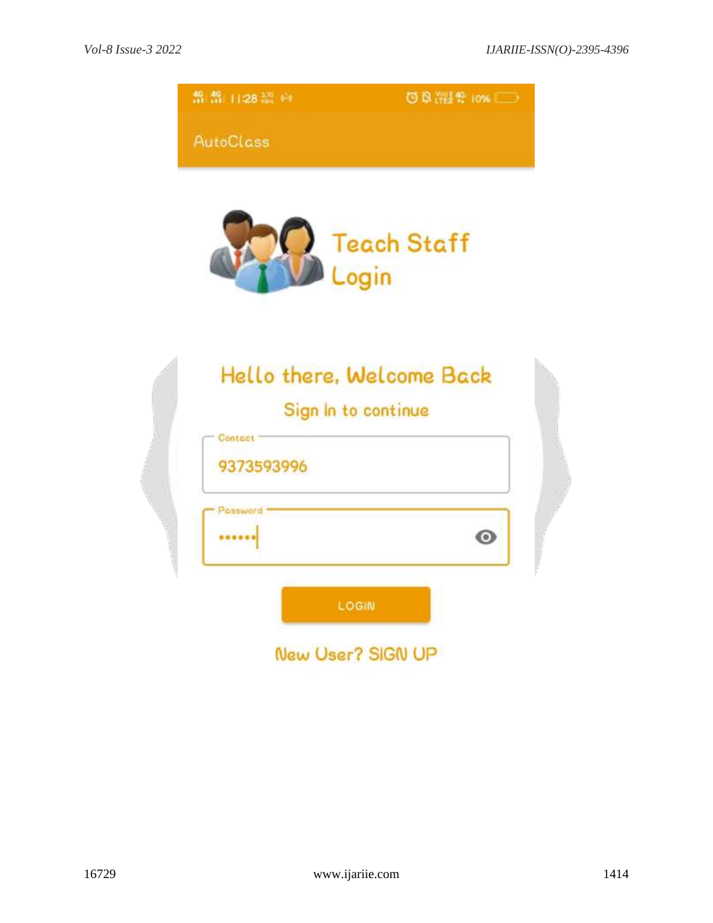| <b>留盤 128 認 @</b>     |                                                  | ◎9. 體體 ◎9          |  |
|-----------------------|--------------------------------------------------|--------------------|--|
| AutoClass             |                                                  |                    |  |
|                       | Login                                            | <b>Teach Staff</b> |  |
| Contact<br>9373593996 | Hello there, Welcome Back<br>Sign In to continue |                    |  |
| Password<br>          |                                                  | $\bm{\odot}$       |  |
|                       | LOGIN                                            |                    |  |
|                       | New User? SIGN UP                                |                    |  |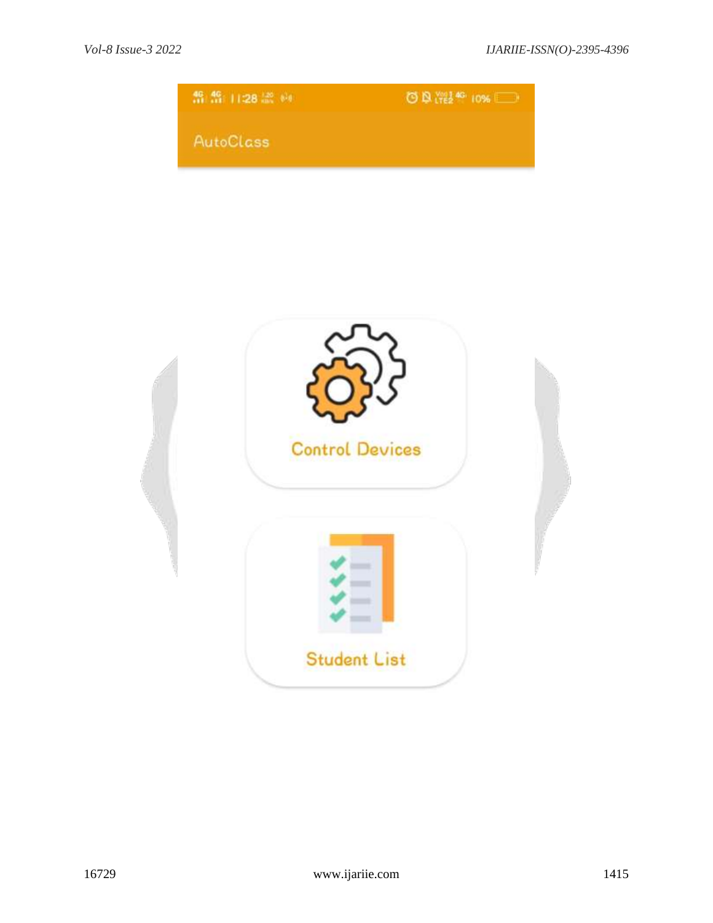

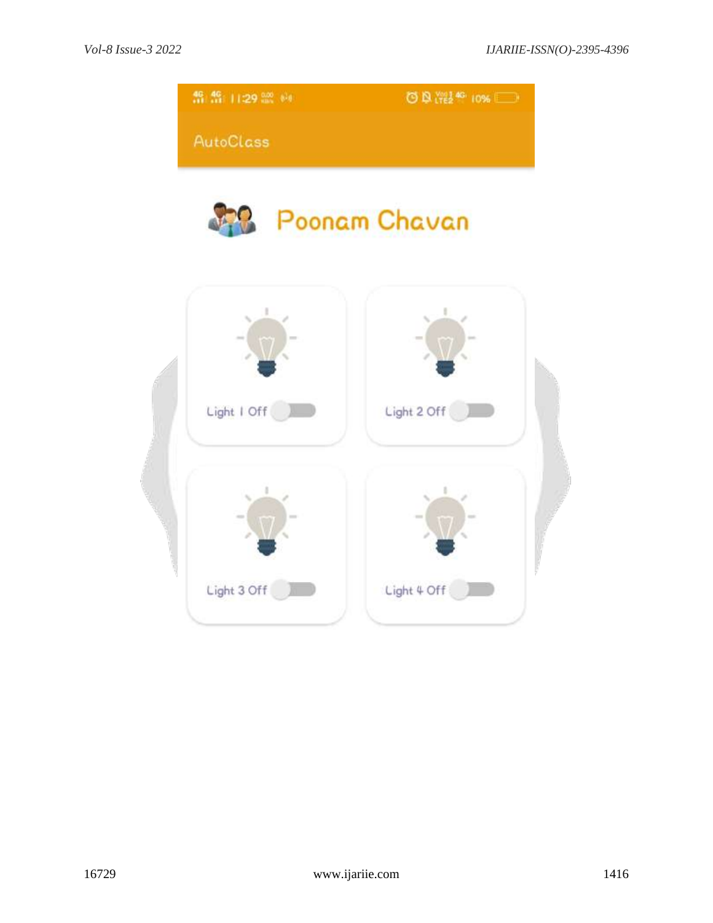



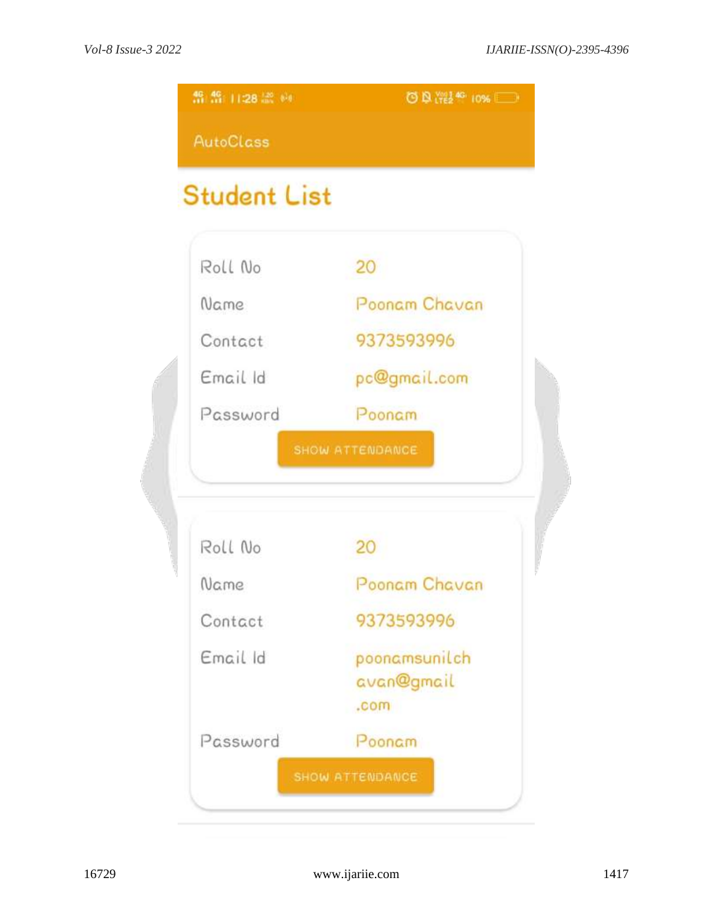

# **Student List**

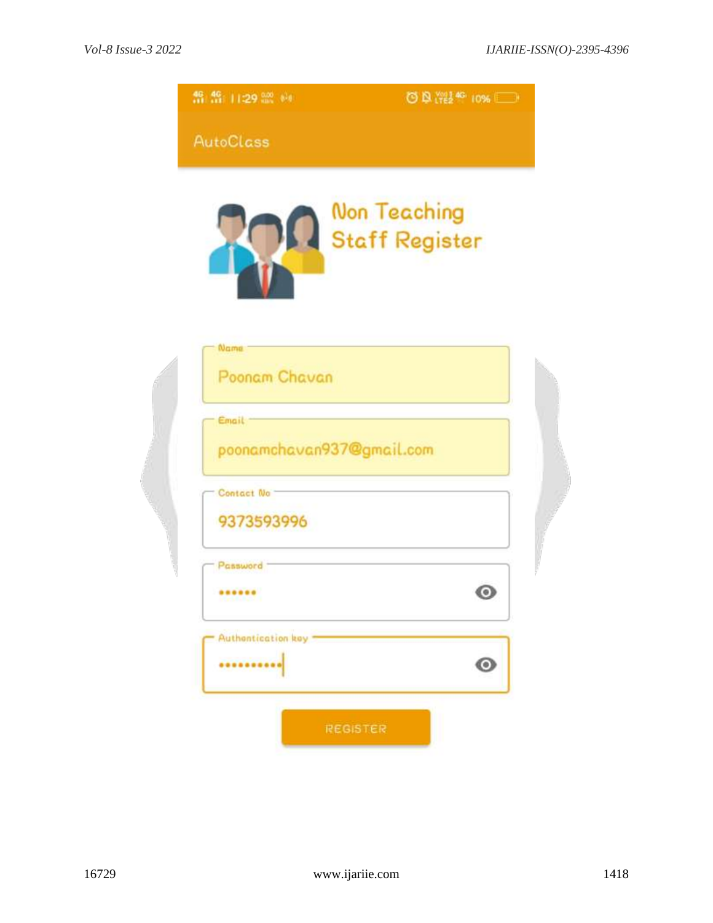| <b>雷 盤 1129 鹽 神</b>                    | ◎9 ( 22 46 10% □                      |
|----------------------------------------|---------------------------------------|
| AutoClass                              |                                       |
|                                        | <b>Non Teaching</b><br>Staff Register |
| Name<br>Poonam Chavan<br><b>Email:</b> |                                       |
| poonamchavan937@gmail.com              |                                       |
| Contact No<br>9373593996               |                                       |
| Password                               |                                       |
|                                        | ۰                                     |
| Authontication key -<br>               | $\bullet$                             |
|                                        |                                       |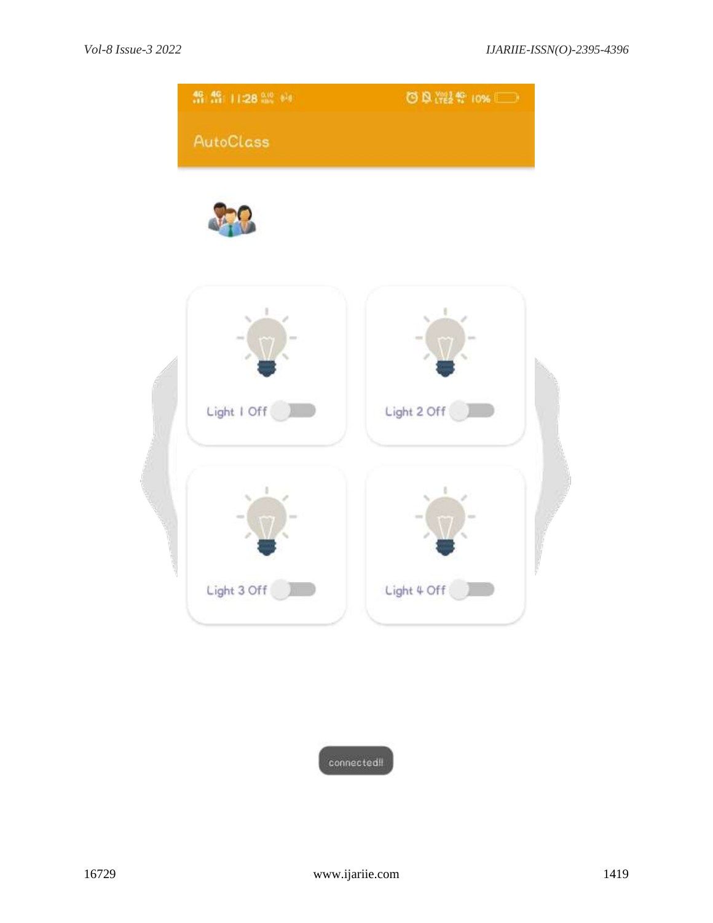

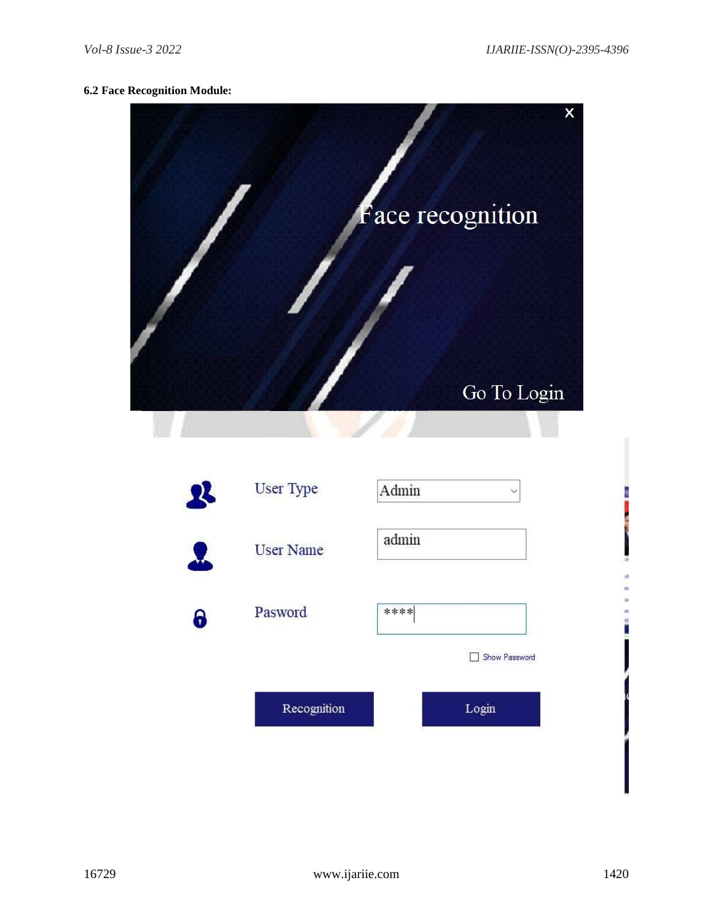## **6.2 Face Recognition Module:**

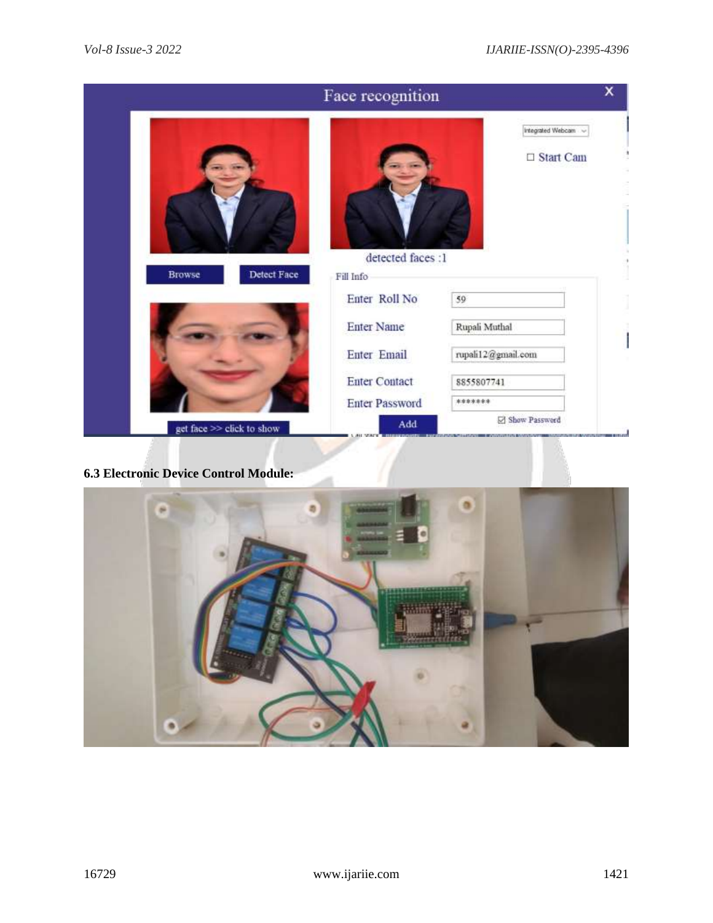|                           | Face recognition                   | X                                  |
|---------------------------|------------------------------------|------------------------------------|
|                           | detected faces :1                  | Integrated Webcam v<br>□ Start Cam |
| Detect Face<br>Browse     | Fill Info                          |                                    |
|                           | Enter Roll No<br><b>Enter Name</b> | 59<br>Rupali Muthal                |
|                           | Enter Email                        | rupali12@gmail.com                 |
|                           | <b>Enter Contact</b>               | 8855807741                         |
| get face >> click to show | <b>Enter Password</b><br>Add       | *******<br>Show Password           |

**6.3 Electronic Device Control Module:**

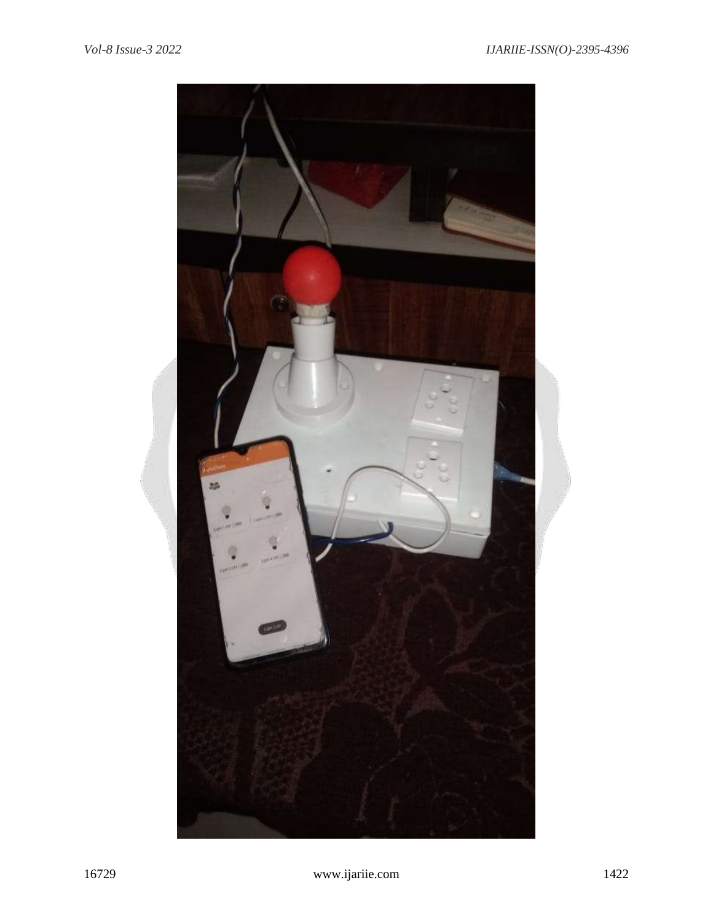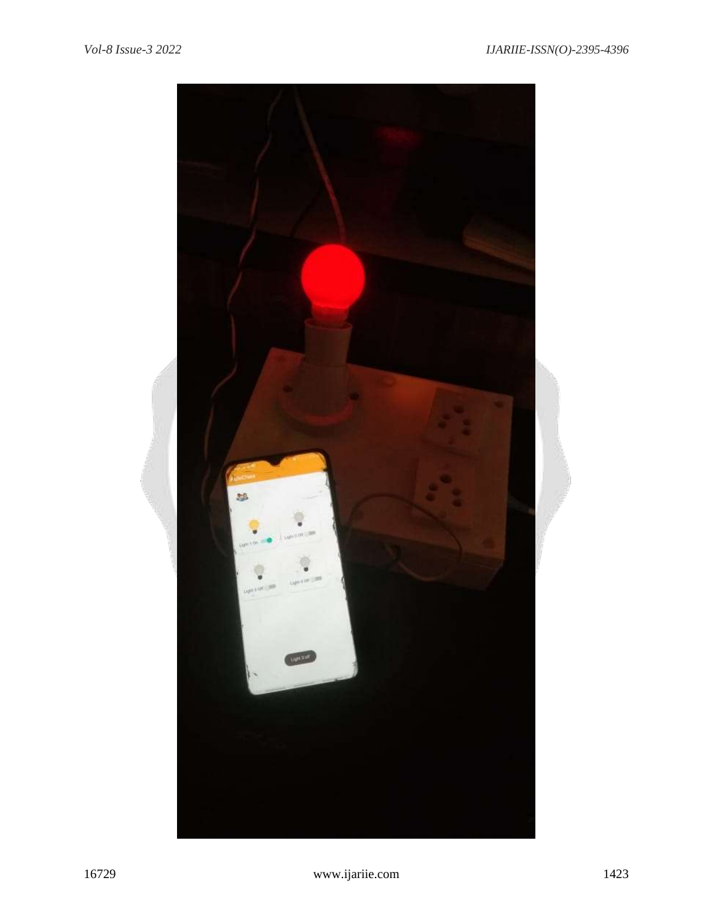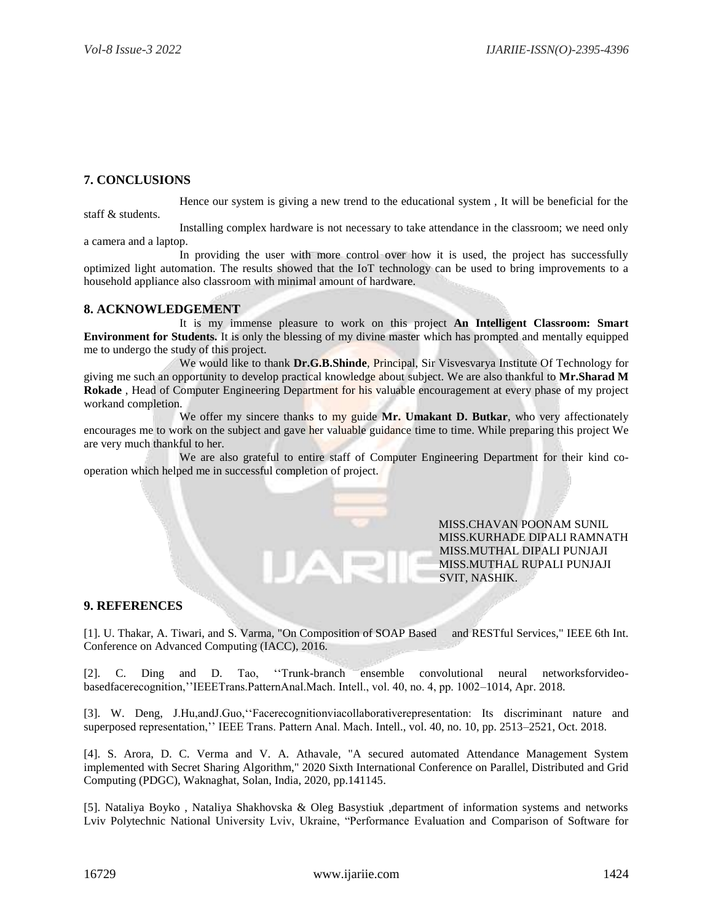### **7. CONCLUSIONS**

 Hence our system is giving a new trend to the educational system , It will be beneficial for the staff & students.

 Installing complex hardware is not necessary to take attendance in the classroom; we need only a camera and a laptop.

 In providing the user with more control over how it is used, the project has successfully optimized light automation. The results showed that the IoT technology can be used to bring improvements to a household appliance also classroom with minimal amount of hardware.

#### **8. ACKNOWLEDGEMENT**

 It is my immense pleasure to work on this project **An Intelligent Classroom: Smart Environment for Students.** It is only the blessing of my divine master which has prompted and mentally equipped me to undergo the study of this project.

 We would like to thank **Dr.G.B.Shinde**, Principal, Sir Visvesvarya Institute Of Technology for giving me such an opportunity to develop practical knowledge about subject. We are also thankful to **Mr.Sharad M Rokade** , Head of Computer Engineering Department for his valuable encouragement at every phase of my project workand completion.

We offer my sincere thanks to my guide Mr. Umakant D. Butkar, who very affectionately encourages me to work on the subject and gave her valuable guidance time to time. While preparing this project We are very much thankful to her.

 We are also grateful to entire staff of Computer Engineering Department for their kind cooperation which helped me in successful completion of project.



 MISS.CHAVAN POONAM SUNIL MISS.KURHADE DIPALI RAMNATH MISS.MUTHAL DIPALI PUNJAJI MISS.MUTHAL RUPALI PUNJAJI SVIT, NASHIK.

#### **9. REFERENCES**

[1]. U. Thakar, A. Tiwari, and S. Varma, "On Composition of SOAP Based and RESTful Services," IEEE 6th Int. Conference on Advanced Computing (IACC), 2016.

[2]. C. Ding and D. Tao, ''Trunk-branch ensemble convolutional neural networksforvideobasedfacerecognition,''IEEETrans.PatternAnal.Mach. Intell., vol. 40, no. 4, pp. 1002–1014, Apr. 2018.

[3]. W. Deng, J.Hu,andJ.Guo,''Facerecognitionviacollaborativerepresentation: Its discriminant nature and superposed representation,'' IEEE Trans. Pattern Anal. Mach. Intell., vol. 40, no. 10, pp. 2513–2521, Oct. 2018.

[4]. S. Arora, D. C. Verma and V. A. Athavale, "A secured automated Attendance Management System implemented with Secret Sharing Algorithm," 2020 Sixth International Conference on Parallel, Distributed and Grid Computing (PDGC), Waknaghat, Solan, India, 2020, pp.141145.

[5]. Nataliya Boyko , Nataliya Shakhovska & Oleg Basystiuk ,department of information systems and networks Lviv Polytechnic National University Lviv, Ukraine, "Performance Evaluation and Comparison of Software for